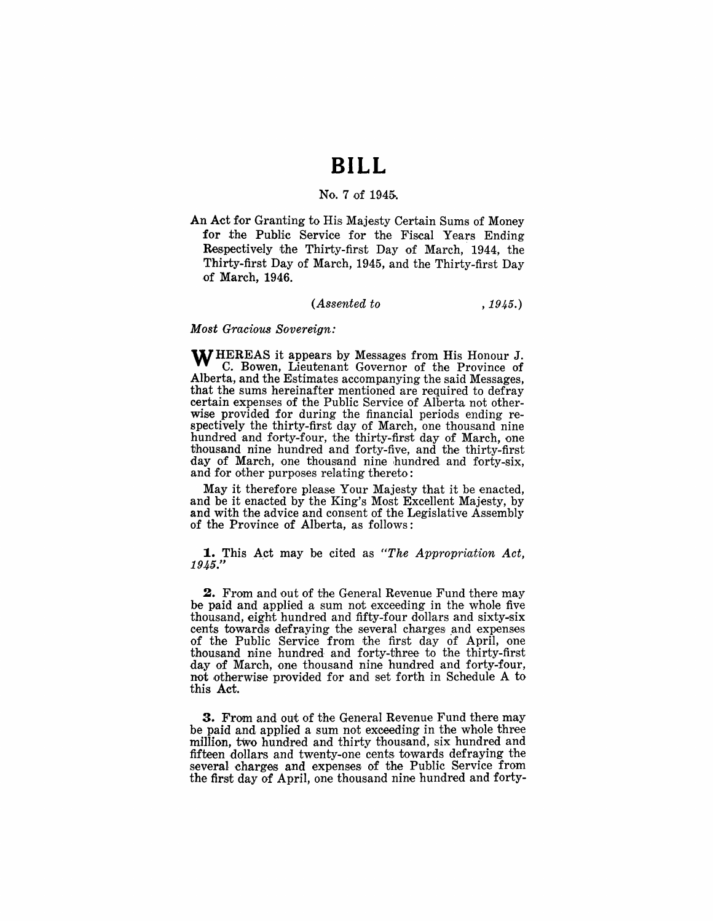# **BILL**

### No.7 of 194&.

An Act for Granting to His Majesty Certain Sums of Money for the Public Service for the Fiscal Years Ending Respectively the Thirty-first Day of March, 1944, the Thirty-first Day of March, 1945, and the Thirty-first Day of March, 1946.

### *(Assented to* , 1945.)

*Most Gracious Sovereign:* 

WHEREAS it appears by Messages from His Honour J. C. Bowen, Lieutenant Governor of the Province of Alberta, and the Estimates accompanying the said Messages, that the sums hereinafter mentioned are required to defray certain expenses of the Public Service of Alberta not otherwise provided for during the financial periods ending respectively the thirty-first day of March, one thousand nine hundred and forty-four, the thirty-first day of March, one thousand nine hundred and forty-five, and the thirty-first day of March, one thousand nine hundred and forty-six, and for other purposes relating thereto.:

May it therefore please Your Majesty that it be enacted, and be it enacted by the King's Most Excellent Majesty, by and with the advice and consent of the Legislative Assembly of the Province of Alberta, as follows:

1. This Act may be cited as "The Appropriation Act, 1945."

2. From and out of the General Revenue Fund there may be paid and applied a sum not exceeding in the whole five thousand, eight hundred and fifty-four dollars and sixty-six cents towards defraying the several charges and expenses of the Public Service from the first day of April, one thousand nine hundred and forty-three' to the thirty-first day of March, one thousand nine hundred and forty-four, not otherwise provided for and set forth in Schedule A to this Act.

3. From and out of the General Revenue Fund there may be paid and applied a sum not exceeding in the whole three million, two hundred and thirty thousand, six hundred and fifteen dollars and twenty-one cents towards defraying the several charges and expenses of the Public Service from the first day of April, one thousand nine hundred and forty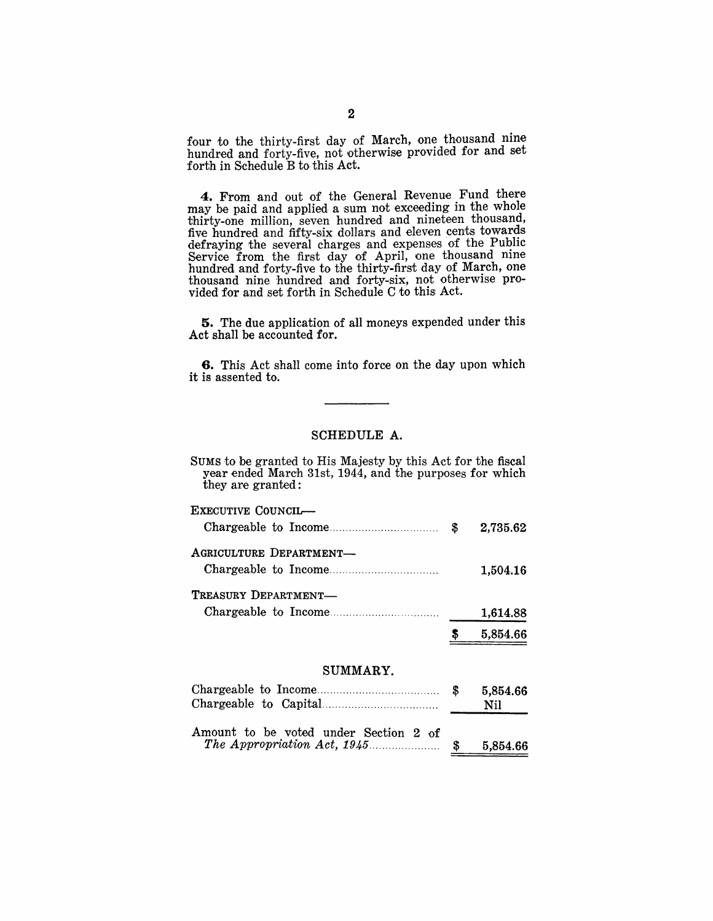four to the thirty-first day of March, one thousand nine hundred and forty-five, not otherwise provided for and set forth in Schedule B to this Act.

4. From and out of the General Revenue Fund there may be paid and applied a sum not exceeding in the whole thirty-one million, seven hundred and nineteen thousand, five hundred and fifty-six dollars and eleven cents towards defraying the several charges and expenses of the Public Service from the first day of April, one thousand nine hundred and forty-five to the thirty-first day of March, one thousand nine hundred and forty-six, not otherwise provided for and set forth in Schedule C to this Act.

**5.** The due application of all moneys expended under this Act shall be accounted for.

**6.** This Act shall come into force on the day upon which it is assented to.

### SCHEDULE A.

| SUMS to be granted to His Majesty by this Act for the fiscal<br>year ended March 31st, 1944, and the purposes for which<br>they are granted: |          |
|----------------------------------------------------------------------------------------------------------------------------------------------|----------|
| EXECUTIVE COUNCIL—                                                                                                                           | 2.735.62 |
| AGRICULTURE DEPARTMENT-                                                                                                                      | 1,504.16 |

TREASURY DEPARTMENT-Chargeable to Income ..................... . 1,614.88

> \$ 5,854.66

#### SUMMARY.

|                                       | 5,854.66<br>Nil |
|---------------------------------------|-----------------|
| Amount to be voted under Section 2 of | 5,854.66        |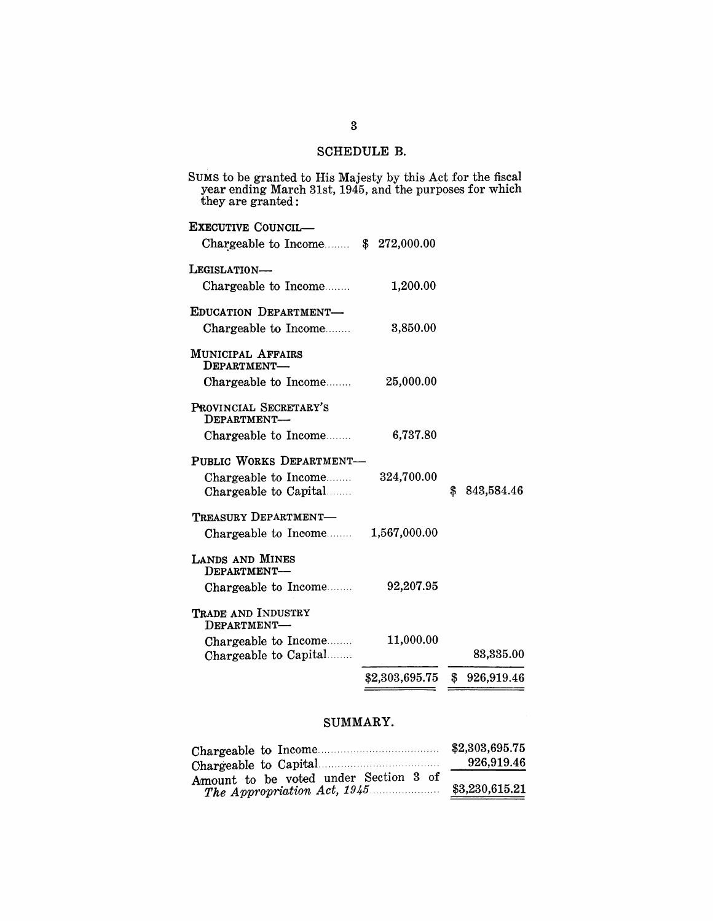## SCHEDULE B.

| year ending March 31st, 1945, and the purposes for which<br>they are granted: |                |                  |
|-------------------------------------------------------------------------------|----------------|------------------|
| EXECUTIVE COUNCIL-                                                            |                |                  |
| Chargeable to Income $$272,000.00$                                            |                |                  |
| LEGISLATION-                                                                  |                |                  |
| Chargeable to Income                                                          | 1,200.00       |                  |
| EDUCATION DEPARTMENT-                                                         |                |                  |
| Chargeable to Income                                                          | 3,850.00       |                  |
| MUNICIPAL AFFAIRS<br>DEPARTMENT-                                              |                |                  |
| Chargeable to Income                                                          | 25,000.00      |                  |
| PROVINCIAL SECRETARY'S<br>DEPARTMENT-                                         |                |                  |
| Chargeable to Income                                                          | 6,737.80       |                  |
| PUBLIC WORKS DEPARTMENT-                                                      |                |                  |
| Chargeable to Income                                                          | 324,700.00     |                  |
| Chargeable to Capital                                                         |                | \$<br>843,584.46 |
| TREASURY DEPARTMENT-                                                          |                |                  |
| Chargeable to Income                                                          | 1,567,000.00   |                  |
| LANDS AND MINES<br>DEPARTMENT-                                                |                |                  |
| Chargeable to Income                                                          | 92,207.95      |                  |
| TRADE AND INDUSTRY<br>DEPARTMENT-                                             |                |                  |
| Chargeable to Income                                                          | 11,000.00      | 83,335.00        |
| Chargeable to Capital                                                         |                |                  |
|                                                                               | \$2,303,695.75 | \$926,919.46     |

## SUMMARY.

|                                       | \$2,303,695.75 |
|---------------------------------------|----------------|
|                                       | 926,919.46     |
| Amount to be voted under Section 3 of |                |
| The Appropriation Act, 1945           | \$3,230,615.21 |

SUMS to be granted to His Majesty by this Act for the fiscal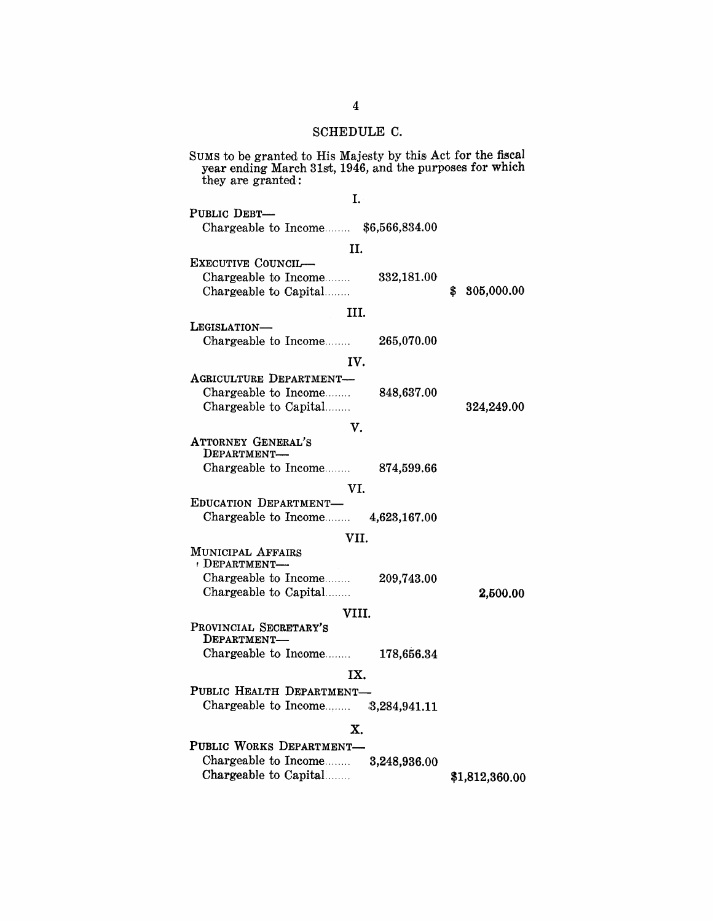### SCHEDULE C.

| SUMS to be granted to His Majesty by this Act for the fiscal<br>year ending March 31st, 1946, and the purposes for which<br>they are granted: |                 |  |  |
|-----------------------------------------------------------------------------------------------------------------------------------------------|-----------------|--|--|
| I.                                                                                                                                            |                 |  |  |
| PUBLIC DEBT-                                                                                                                                  |                 |  |  |
|                                                                                                                                               |                 |  |  |
| Chargeable to Income \$6,566,834.00                                                                                                           |                 |  |  |
| H.                                                                                                                                            |                 |  |  |
| EXECUTIVE COUNCIL-                                                                                                                            |                 |  |  |
| Chargeable to Income<br>$332,\!181.00$                                                                                                        |                 |  |  |
| Chargeable to Capital                                                                                                                         | 805,000.00<br>S |  |  |
|                                                                                                                                               |                 |  |  |
| HI.                                                                                                                                           |                 |  |  |
| LEGISLATION-                                                                                                                                  |                 |  |  |
| Chargeable to Income<br>265,070.00                                                                                                            |                 |  |  |
|                                                                                                                                               |                 |  |  |
| IV.                                                                                                                                           |                 |  |  |
| AGRICULTURE DEPARTMENT-                                                                                                                       |                 |  |  |
| Chargeable to Income<br>848,637.00                                                                                                            |                 |  |  |
| Chargeable to Capital                                                                                                                         | 324,249.00      |  |  |
|                                                                                                                                               |                 |  |  |
| v.                                                                                                                                            |                 |  |  |
| <b>ATTORNEY GENERAL'S</b><br>DEPARTMENT-                                                                                                      |                 |  |  |
| Chargeable to Income<br>874,599.66                                                                                                            |                 |  |  |
|                                                                                                                                               |                 |  |  |
| VI.                                                                                                                                           |                 |  |  |
| EDUCATION DEPARTMENT-                                                                                                                         |                 |  |  |
| Chargeable to Income $4,623,167.00$                                                                                                           |                 |  |  |
| VII.                                                                                                                                          |                 |  |  |
| MUNICIPAL AFFAIRS                                                                                                                             |                 |  |  |
| DEPARTMENT-                                                                                                                                   |                 |  |  |
| Chargeable to Income<br>209,743.00                                                                                                            |                 |  |  |
| Chargeable to Capital                                                                                                                         | 2,500.00        |  |  |
|                                                                                                                                               |                 |  |  |
| VIII.                                                                                                                                         |                 |  |  |
| PROVINCIAL SECRETARY'S                                                                                                                        |                 |  |  |
| DEPARTMENT-                                                                                                                                   |                 |  |  |
| Chargeable to Income<br>178,656.34                                                                                                            |                 |  |  |
| IX.                                                                                                                                           |                 |  |  |
|                                                                                                                                               |                 |  |  |
| PUBLIC HEALTH DEPARTMENT-                                                                                                                     |                 |  |  |
| Chargeable to Income 3,284,941.11                                                                                                             |                 |  |  |
|                                                                                                                                               |                 |  |  |
| Х.                                                                                                                                            |                 |  |  |
| PUBLIC WORKS DEPARTMENT-                                                                                                                      |                 |  |  |
| Chargeable to Income 3,248,936.00                                                                                                             |                 |  |  |
| Chargeable to Capital                                                                                                                         | \$1,812,360.00  |  |  |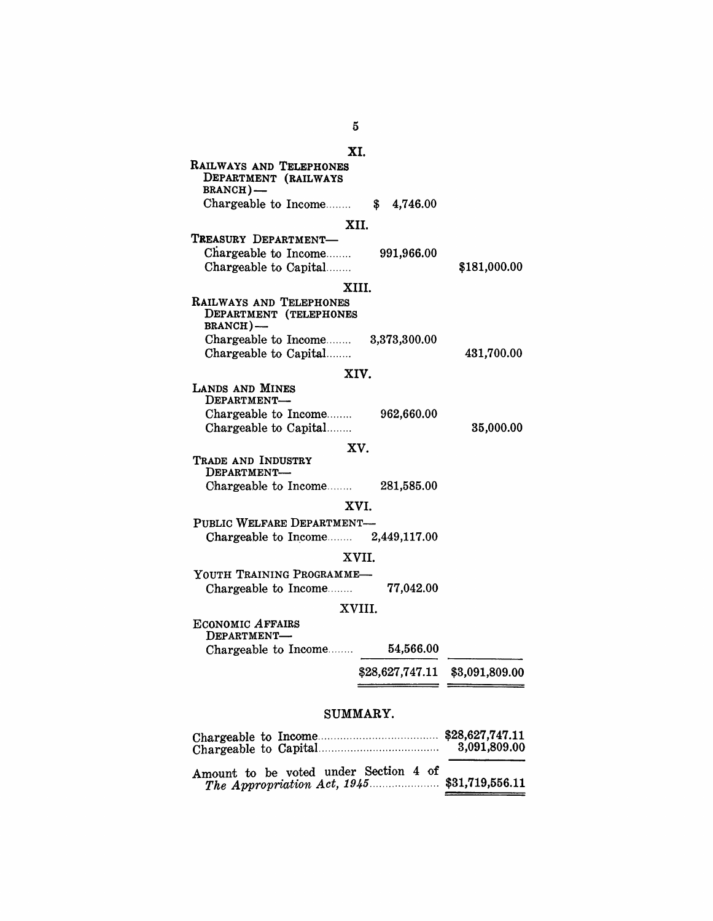|                                             | XI.                                                                                  |            |                                |
|---------------------------------------------|--------------------------------------------------------------------------------------|------------|--------------------------------|
| RAILWAYS AND TELEPHONES<br><b>BRANCH</b> )- | DEPARTMENT (RAILWAYS                                                                 |            |                                |
|                                             | Chargeable to Income $$ 4,746.00$                                                    |            |                                |
|                                             | XII.                                                                                 |            |                                |
| TREASURY DEPARTMENT-                        | Chargeable to Income<br>Chargeable to Capital                                        | 991,966.00 | \$181,000.00                   |
|                                             | XIII.                                                                                |            |                                |
| RAILWAYS AND TELEPHONES<br>BRANCH)-         | DEPARTMENT (TELEPHONES<br>Chargeable to Income 3,373,300.00<br>Chargeable to Capital |            | 431,700.00                     |
|                                             | XIV.                                                                                 |            |                                |
| LANDS AND MINES<br>DEPARTMENT-              |                                                                                      |            |                                |
|                                             | Chargeable to Income<br>Chargeable to Capital                                        | 962,660.00 | 35,000.00                      |
|                                             | XV.                                                                                  |            |                                |
| TRADE AND INDUSTRY<br>DEPARTMENT-           |                                                                                      |            |                                |
|                                             | Chargeable to Income $281,585.00$                                                    |            |                                |
|                                             | XVI.                                                                                 |            |                                |
|                                             | PUBLIC WELFARE DEPARTMENT-                                                           |            |                                |
|                                             | Chargeable to Income $2,449,117.00$                                                  |            |                                |
|                                             | XVII.                                                                                |            |                                |
|                                             | YOUTH TRAINING PROGRAMME-                                                            |            |                                |
|                                             | Chargeable to Income 77,042.00                                                       |            |                                |
|                                             | XVIII.                                                                               |            |                                |
| <b>ECONOMIC AFFAIRS</b><br>DEPARTMENT-      |                                                                                      |            |                                |
|                                             | Chargeable to Income 54,566.00                                                       |            |                                |
|                                             |                                                                                      |            | \$28,627,747.11 \$3,091,809.00 |
|                                             | SUMMARY.                                                                             |            |                                |

| Amount to be voted under Section 4 of |  |
|---------------------------------------|--|

 $5\overline{)}$